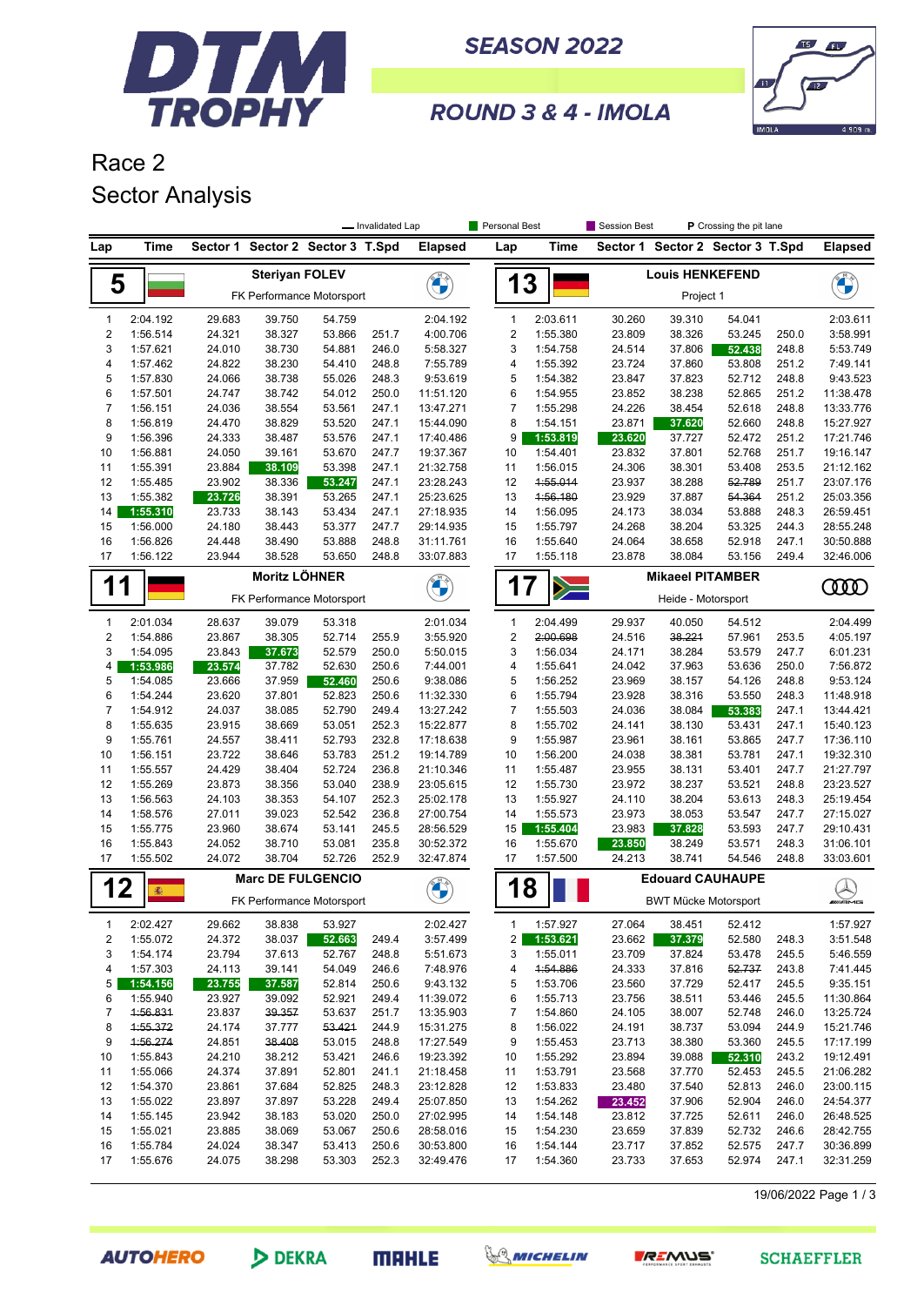

**SEASON 2022** 



ROUND 3 & 4 - IMOLA

## Race 2 Sector Analysis

|                                                             |                      |                                                       |                                  |                  | - Invalidated Lap |                        | Personal Best                                                 |                                                        | <b>Session Best</b>                 |                  | <b>P</b> Crossing the pit lane   |                           |                        |
|-------------------------------------------------------------|----------------------|-------------------------------------------------------|----------------------------------|------------------|-------------------|------------------------|---------------------------------------------------------------|--------------------------------------------------------|-------------------------------------|------------------|----------------------------------|---------------------------|------------------------|
| Lap                                                         | Time                 |                                                       | Sector 1 Sector 2 Sector 3 T.Spd |                  |                   | <b>Elapsed</b>         | Lap                                                           | Time                                                   |                                     |                  | Sector 1 Sector 2 Sector 3 T.Spd |                           | <b>Elapsed</b>         |
|                                                             |                      |                                                       | <b>Steriyan FOLEV</b>            |                  |                   |                        |                                                               |                                                        |                                     |                  |                                  |                           |                        |
| 5                                                           |                      | FK Performance Motorsport                             |                                  |                  | <b>CERTIFY</b>    | 13                     |                                                               |                                                        | <b>Louis HENKEFEND</b><br>Project 1 |                  |                                  |                           |                        |
| 1                                                           | 2:04.192             | 29.683                                                | 39.750                           | 54.759           |                   | 2:04.192               | $\mathbf{1}$                                                  | 2:03.611                                               | 30.260                              | 39.310           | 54.041                           |                           | 2:03.611               |
| $\overline{2}$                                              | 1:56.514             | 24.321                                                | 38.327                           | 53.866           | 251.7             | 4:00.706               | 2                                                             | 1:55.380                                               | 23.809                              | 38.326           | 53.245                           | 250.0                     | 3:58.991               |
| 3                                                           | 1:57.621             | 24.010                                                | 38.730                           | 54.881           | 246.0             | 5:58.327               | 3                                                             | 1:54.758                                               | 24.514                              | 37.806           | 52.438                           | 248.8                     | 5:53.749               |
| 4<br>5                                                      | 1:57.462<br>1:57.830 | 24.822<br>24.066                                      | 38.230<br>38.738                 | 54.410<br>55.026 | 248.8<br>248.3    | 7:55.789<br>9:53.619   | 4<br>5                                                        | 1:55.392<br>1:54.382                                   | 23.724<br>23.847                    | 37.860<br>37.823 | 53.808<br>52.712                 | 251.2<br>248.8            | 7:49.141<br>9:43.523   |
| 6                                                           | 1:57.501             | 24.747                                                | 38.742                           | 54.012           | 250.0             | 11:51.120              | 6                                                             | 1:54.955                                               | 23.852                              | 38.238           | 52.865                           | 251.2                     | 11:38.478              |
| $\overline{7}$                                              | 1:56.151             | 24.036                                                | 38.554                           | 53.561           | 247.1             | 13:47.271              | $\overline{7}$                                                | 1:55.298                                               | 24.226                              | 38.454           | 52.618                           | 248.8                     | 13:33.776              |
| 8                                                           | 1:56.819             | 24.470                                                | 38.829                           | 53.520           | 247.1             | 15:44.090              | 8                                                             | 1:54.151                                               | 23.871                              | 37.620           | 52.660                           | 248.8                     | 15:27.927              |
| 9                                                           | 1:56.396             | 24.333                                                | 38.487                           | 53.576           | 247.1             | 17:40.486              | 9                                                             | 1:53.819                                               | 23.620                              | 37.727           | 52.472                           | 251.2                     | 17:21.746              |
| 10                                                          | 1:56.881             | 24.050                                                | 39.161                           | 53.670           | 247.7             | 19:37.367              | 10                                                            | 1:54.401                                               | 23.832                              | 37.801           | 52.768                           | 251.7                     | 19:16.147              |
| 11                                                          | 1:55.391             | 23.884                                                | 38.109                           | 53.398           | 247.1             | 21:32.758              | 11                                                            | 1:56.015                                               | 24.306                              | 38.301           | 53.408                           | 253.5                     | 21:12.162              |
| 12                                                          | 1:55.485             | 23.902                                                | 38.336                           | 53.247           | 247.1             | 23:28.243              | 12                                                            | 4:55.014                                               | 23.937                              | 38.288           | 52.789                           | 251.7                     | 23:07.176              |
| 13                                                          | 1:55.382             | 23.726                                                | 38.391                           | 53.265           | 247.1             | 25:23.625              | 13                                                            | 1:56.180                                               | 23.929                              | 37.887           | 54.364                           | 251.2                     | 25:03.356              |
| 14                                                          | 1:55.310             | 23.733                                                | 38.143                           | 53.434           | 247.1             | 27:18.935              | 14                                                            | 1:56.095                                               | 24.173                              | 38.034           | 53.888                           | 248.3                     | 26:59.451              |
| 15                                                          | 1:56.000             | 24.180                                                | 38.443                           | 53.377           | 247.7             | 29:14.935              | 15                                                            | 1:55.797                                               | 24.268                              | 38.204           | 53.325                           | 244.3                     | 28:55.248              |
| 16                                                          | 1:56.826             | 24.448                                                | 38.490                           | 53.888           | 248.8             | 31:11.761              | 16                                                            | 1:55.640                                               | 24.064                              | 38.658           | 52.918                           | 247.1                     | 30:50.888              |
| 17                                                          | 1:56.122             | 23.944                                                | 38.528                           | 53.650           | 248.8             | 33:07.883              | 17                                                            | 1:55.118                                               | 23.878                              | 38.084           | 53.156                           | 249.4                     | 32:46.006              |
| <b>Moritz LÖHNER</b><br>1<br>1<br>FK Performance Motorsport |                      |                                                       |                                  |                  | <b>CHANGE</b>     |                        | <b>Mikaeel PITAMBER</b><br>17<br>$\geq$<br>Heide - Motorsport |                                                        |                                     |                  |                                  | <b>COOD</b>               |                        |
| $\mathbf{1}$                                                | 2:01.034             | 28.637                                                | 39.079                           | 53.318           |                   | 2:01.034               | $\mathbf{1}$                                                  | 2:04.499                                               | 29.937                              | 40.050           | 54.512                           |                           | 2:04.499               |
| $\overline{2}$                                              | 1:54.886             | 23.867                                                | 38.305                           | 52.714           | 255.9             | 3:55.920               | $\overline{2}$                                                | 2:00.698                                               | 24.516                              | 38.221           | 57.961                           | 253.5                     | 4:05.197               |
| 3                                                           | 1:54.095             | 23.843                                                | 37.673                           | 52.579           | 250.0             | 5:50.015               | 3                                                             | 1:56.034                                               | 24.171                              | 38.284           | 53.579                           | 247.7                     | 6:01.231               |
| 4                                                           | 1:53.986             | 23.574                                                | 37.782                           | 52.630           | 250.6             | 7:44.001               | 4                                                             | 1:55.641                                               | 24.042                              | 37.963           | 53.636                           | 250.0                     | 7:56.872               |
| 5                                                           | 1:54.085             | 23.666                                                | 37.959                           | 52.460           | 250.6             | 9:38.086               | 5                                                             | 1:56.252                                               | 23.969                              | 38.157           | 54.126                           | 248.8                     | 9:53.124               |
| 6                                                           | 1:54.244             | 23.620                                                | 37.801                           | 52.823           | 250.6             | 11:32.330              | 6                                                             | 1:55.794                                               | 23.928                              | 38.316           | 53.550                           | 248.3                     | 11:48.918              |
| $\overline{7}$                                              | 1:54.912             | 24.037                                                | 38.085                           | 52.790           | 249.4             | 13:27.242              | $\overline{7}$                                                | 1:55.503                                               | 24.036                              | 38.084           | 53.383                           | 247.1                     | 13:44.421              |
| 8                                                           | 1:55.635             | 23.915                                                | 38.669                           | 53.051           | 252.3             | 15:22.877              | 8                                                             | 1:55.702                                               | 24.141                              | 38.130           | 53.431                           | 247.1                     | 15:40.123              |
| 9                                                           | 1:55.761             | 24.557                                                | 38.411                           | 52.793           | 232.8             | 17:18.638              | 9                                                             | 1:55.987                                               | 23.961                              | 38.161           | 53.865                           | 247.7                     | 17:36.110              |
| 10                                                          | 1:56.151             | 23.722                                                | 38.646                           | 53.783           | 251.2             | 19:14.789              | 10                                                            | 1:56.200                                               | 24.038                              | 38.381           | 53.781                           | 247.1                     | 19:32.310              |
| 11                                                          | 1:55.557             | 24.429                                                | 38.404                           | 52.724           | 236.8             | 21:10.346              | 11                                                            | 1:55.487                                               | 23.955                              | 38.131           | 53.401                           | 247.7                     | 21:27.797              |
| 12                                                          | 1:55.269             | 23.873                                                | 38.356                           | 53.040           | 238.9             | 23:05.615              | 12                                                            | 1:55.730                                               | 23.972                              | 38.237           | 53.521                           | 248.8                     | 23:23.527              |
| 13                                                          | 1:56.563             | 24.103                                                | 38.353                           | 54.107           | 252.3             | 25:02.178              | 13                                                            | 1:55.927                                               | 24.110                              | 38.204           | 53.613                           | 248.3                     | 25:19.454              |
| 14                                                          | 1:58.576             | 27.011                                                | 39.023                           | 52.542           | 236.8             | 27:00.754              | 14                                                            | 1:55.573                                               | 23.973                              | 38.053           | 53.547                           | 247.7                     | 27:15.027              |
| 15<br>16                                                    | 1:55.775             | 23.960<br>24.052                                      | 38.674                           | 53.141<br>53.081 | 245.5<br>235.8    | 28:56.529              | 15                                                            | 1:55.404<br>1:55.670                                   | 23.983                              | 37.828<br>38.249 | 53.593<br>53.571                 | 247.7                     | 29:10.431              |
| 17                                                          | 1:55.843<br>1:55.502 | 24.072                                                | 38.710<br>38.704                 | 52.726           | 252.9             | 30:52.372<br>32:47.874 | 16<br>17                                                      | 1:57.500                                               | 23.850<br>24.213                    | 38.741           | 54.546                           | 248.3<br>248.8            | 31:06.101<br>33:03.601 |
|                                                             |                      |                                                       |                                  |                  |                   |                        |                                                               |                                                        |                                     |                  |                                  |                           |                        |
| 12                                                          | 靈                    | <b>Marc DE FULGENCIO</b><br>FK Performance Motorsport |                                  |                  | <b>EN AD</b>      | 18                     |                                                               | <b>Edouard CAUHAUPE</b><br><b>BWT Mücke Motorsport</b> |                                     |                  |                                  | $\bigotimes_{\mathbb{Z}}$ |                        |
| 1                                                           | 2:02.427             | 29.662                                                | 38.838                           | 53.927           |                   | 2:02.427               | 1                                                             | 1:57.927                                               | 27.064                              | 38.451           | 52.412                           |                           | 1:57.927               |
| 2                                                           | 1:55.072             | 24.372                                                | 38.037                           | 52.663           | 249.4             | 3:57.499               | 2                                                             | 1:53.621                                               | 23.662                              | 37.379           | 52.580                           | 248.3                     | 3:51.548               |
| 3                                                           | 1:54.174             | 23.794                                                | 37.613                           | 52.767           | 248.8             | 5:51.673               | 3                                                             | 1:55.011                                               | 23.709                              | 37.824           | 53.478                           | 245.5                     | 5:46.559               |
| 4                                                           | 1:57.303             | 24.113                                                | 39.141                           | 54.049           | 246.6             | 7:48.976               | 4                                                             | 4:54.886                                               | 24.333                              | 37.816           | 52.737                           | 243.8                     | 7:41.445               |
| 5                                                           | 1:54.156             | 23.755                                                | 37.587                           | 52.814           | 250.6             | 9:43.132               | 5                                                             | 1:53.706                                               | 23.560                              | 37.729           | 52.417                           | 245.5                     | 9:35.151               |
| 6                                                           | 1:55.940             | 23.927                                                | 39.092                           | 52.921           | 249.4             | 11:39.072              | 6                                                             | 1:55.713                                               | 23.756                              | 38.511           | 53.446                           | 245.5                     | 11:30.864              |
| 7                                                           | 4:56.831             | 23.837                                                | 39.357                           | 53.637           | 251.7             | 13:35.903              | 7                                                             | 1:54.860                                               | 24.105                              | 38.007           | 52.748                           | 246.0                     | 13:25.724              |
| 8                                                           | 1:55.372             | 24.174                                                | 37.777                           | 53.421           | 244.9             | 15:31.275              | 8                                                             | 1:56.022                                               | 24.191                              | 38.737           | 53.094                           | 244.9                     | 15:21.746              |
| 9                                                           | 1:56.274             | 24.851                                                | 38.408                           | 53.015           | 248.8             | 17:27.549              | 9                                                             | 1:55.453                                               | 23.713                              | 38.380           | 53.360                           | 245.5                     | 17:17.199              |
| 10                                                          | 1:55.843             | 24.210                                                | 38.212                           | 53.421           | 246.6             | 19:23.392              | 10                                                            | 1:55.292                                               | 23.894                              | 39.088           | 52.310                           | 243.2                     | 19:12.491              |
| 11                                                          | 1:55.066             | 24.374                                                | 37.891<br>37.684                 | 52.801           | 241.1             | 21:18.458              | 11                                                            | 1:53.791                                               | 23.568                              | 37.770           | 52.453                           | 245.5                     | 21:06.282              |
| 12                                                          | 1:54.370             | 23.861                                                |                                  | 52.825           | 248.3             | 23:12.828<br>25:07.850 | 12                                                            | 1:53.833                                               | 23.480                              | 37.540           | 52.813                           | 246.0                     | 23:00.115              |
| 13<br>14                                                    | 1:55.022<br>1:55.145 | 23.897<br>23.942                                      | 37.897<br>38.183                 | 53.228<br>53.020 | 249.4<br>250.0    | 27:02.995              | 13<br>14                                                      | 1:54.262<br>1:54.148                                   | 23.452<br>23.812                    | 37.906<br>37.725 | 52.904<br>52.611                 | 246.0<br>246.0            | 24:54.377<br>26:48.525 |
| 15                                                          | 1:55.021             | 23.885                                                | 38.069                           | 53.067           | 250.6             | 28:58.016              | 15                                                            | 1:54.230                                               | 23.659                              | 37.839           | 52.732                           | 246.6                     | 28:42.755              |
| 16                                                          | 1:55.784             | 24.024                                                | 38.347                           | 53.413           | 250.6             | 30:53.800              | 16                                                            | 1:54.144                                               | 23.717                              | 37.852           | 52.575                           | 247.7                     | 30:36.899              |
| 17                                                          | 1:55.676             | 24.075                                                | 38.298                           | 53.303           | 252.3             | 32:49.476              | 17                                                            | 1:54.360                                               | 23.733                              | 37.653           | 52.974                           | 247.1                     | 32:31.259              |
|                                                             |                      |                                                       |                                  |                  |                   |                        |                                                               |                                                        |                                     |                  |                                  |                           |                        |

19/06/2022 Page 1 / 3

**AUTOHERO** 

DEKRA

**MRHLE** 



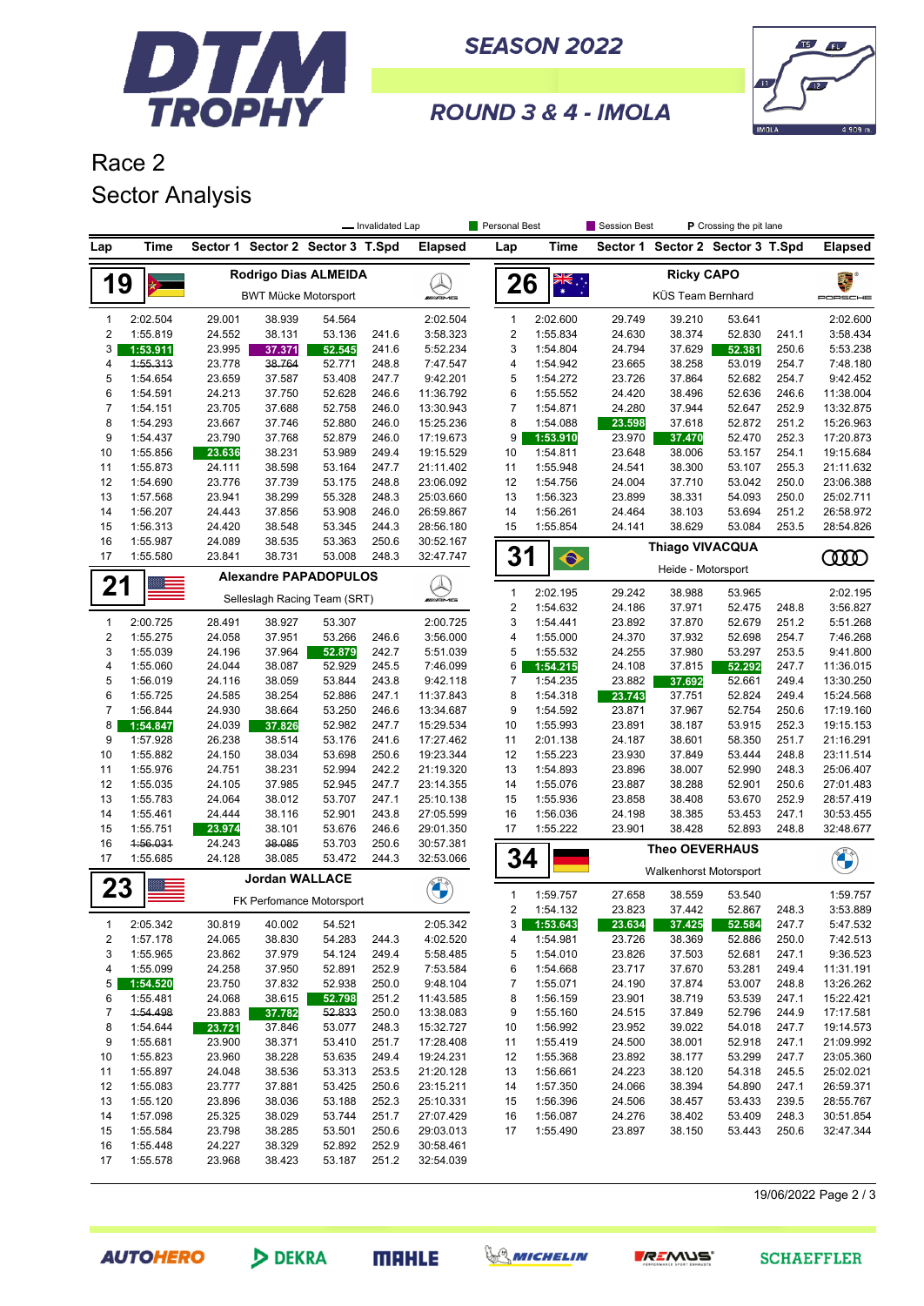

DEKRA

**MAHLE** 

**AUTOHERO** 

**SEASON 2022** 



ROUND 3 & 4 - IMOLA

## Race 2 Sector Analysis

|                     |                      |                  |                                  |                  | - Invalidated Lap |                                                                                                                                                                                                                               | Personal Best  |                      | Session Best     |                        | P Crossing the pit lane          |                |                        |
|---------------------|----------------------|------------------|----------------------------------|------------------|-------------------|-------------------------------------------------------------------------------------------------------------------------------------------------------------------------------------------------------------------------------|----------------|----------------------|------------------|------------------------|----------------------------------|----------------|------------------------|
| Lap                 | Time                 |                  | Sector 1 Sector 2 Sector 3 T.Spd |                  |                   | <b>Elapsed</b>                                                                                                                                                                                                                | Lap            | Time                 |                  |                        | Sector 1 Sector 2 Sector 3 T.Spd |                | Elapsed                |
|                     |                      |                  | Rodrigo Dias ALMEIDA             |                  |                   |                                                                                                                                                                                                                               |                |                      | 覆                |                        |                                  |                |                        |
| 19                  |                      |                  | <b>BWT Mücke Motorsport</b>      |                  |                   | <b>WAMG</b>                                                                                                                                                                                                                   | 26             | $\frac{1}{\sqrt{2}}$ |                  | KÜS Team Bernhard      |                                  |                | PORSCHE                |
| 1                   | 2:02.504             | 29.001           | 38.939                           | 54.564           |                   | 2:02.504                                                                                                                                                                                                                      | $\mathbf{1}$   | 2:02.600             | 29.749           | 39.210                 | 53.641                           |                | 2:02.600               |
| $\overline{c}$      | 1:55.819             | 24.552           | 38.131                           | 53.136           | 241.6             | 3:58.323                                                                                                                                                                                                                      | $\overline{c}$ | 1:55.834             | 24.630           | 38.374                 | 52.830                           | 241.1          | 3:58.434               |
| 3                   | 1:53.911             | 23.995           | 37.371                           | 52.545           | 241.6             | 5:52.234                                                                                                                                                                                                                      | 3              | 1:54.804             | 24.794           | 37.629                 | 52.381                           | 250.6          | 5:53.238               |
| 4                   | 4:55.313             | 23.778           | 38.764                           | 52.771           | 248.8             | 7:47.547                                                                                                                                                                                                                      | 4              | 1:54.942             | 23.665           | 38.258                 | 53.019                           | 254.7          | 7:48.180               |
| 5                   | 1:54.654             | 23.659           | 37.587                           | 53.408           | 247.7             | 9:42.201                                                                                                                                                                                                                      | 5              | 1:54.272             | 23.726           | 37.864                 | 52.682                           | 254.7          | 9:42.452               |
| 6                   | 1:54.591             | 24.213           | 37.750                           | 52.628           | 246.6             | 11:36.792                                                                                                                                                                                                                     | 6              | 1:55.552             | 24.420           | 38.496                 | 52.636                           | 246.6          | 11:38.004              |
| 7                   | 1:54.151             | 23.705           | 37.688                           | 52.758           | 246.0             | 13:30.943                                                                                                                                                                                                                     | 7              | 1:54.871             | 24.280           | 37.944                 | 52.647                           | 252.9          | 13:32.875              |
| 8<br>9              | 1:54.293             | 23.667           | 37.746                           | 52.880           | 246.0             | 15:25.236<br>17:19.673                                                                                                                                                                                                        | 8<br>9         | 1:54.088             | 23.598           | 37.618                 | 52.872                           | 251.2          | 15:26.963<br>17:20.873 |
| 10                  | 1:54.437<br>1:55.856 | 23.790<br>23.636 | 37.768<br>38.231                 | 52.879<br>53.989 | 246.0<br>249.4    | 19:15.529                                                                                                                                                                                                                     | 10             | 1:53.910<br>1:54.811 | 23.970<br>23.648 | 37.470<br>38.006       | 52.470<br>53.157                 | 252.3<br>254.1 | 19:15.684              |
| 11                  | 1:55.873             | 24.111           | 38.598                           | 53.164           | 247.7             | 21:11.402                                                                                                                                                                                                                     | 11             | 1:55.948             | 24.541           | 38.300                 | 53.107                           | 255.3          | 21:11.632              |
| 12                  | 1:54.690             | 23.776           | 37.739                           | 53.175           | 248.8             | 23:06.092                                                                                                                                                                                                                     | 12             | 1:54.756             | 24.004           | 37.710                 | 53.042                           | 250.0          | 23:06.388              |
| 13                  | 1:57.568             | 23.941           | 38.299                           | 55.328           | 248.3             | 25:03.660                                                                                                                                                                                                                     | 13             | 1:56.323             | 23.899           | 38.331                 | 54.093                           | 250.0          | 25:02.711              |
| 14                  | 1:56.207             | 24.443           | 37.856                           | 53.908           | 246.0             | 26:59.867                                                                                                                                                                                                                     | 14             | 1:56.261             | 24.464           | 38.103                 | 53.694                           | 251.2          | 26:58.972              |
| 15                  | 1:56.313             | 24.420           | 38.548                           | 53.345           | 244.3             | 28:56.180                                                                                                                                                                                                                     | 15             | 1:55.854             | 24.141           | 38.629                 | 53.084                           | 253.5          | 28:54.826              |
| 16                  | 1:55.987             | 24.089           | 38.535                           | 53.363           | 250.6             | 30:52.167                                                                                                                                                                                                                     |                |                      |                  |                        |                                  |                |                        |
| 17                  | 1:55.580             | 23.841           | 38.731                           | 53.008           | 248.3             | 32:47.747                                                                                                                                                                                                                     | 31             | $\bullet$            |                  | <b>Thiago VIVACQUA</b> |                                  |                | <b>COO</b>             |
|                     |                      |                  | <b>Alexandre PAPADOPULOS</b>     |                  |                   |                                                                                                                                                                                                                               |                |                      |                  | Heide - Motorsport     |                                  |                |                        |
| 21                  |                      |                  | Selleslagh Racing Team (SRT)     |                  |                   | <u>Q</u>                                                                                                                                                                                                                      | $\mathbf{1}$   | 2:02.195             | 29.242           | 38.988                 | 53.965                           |                | 2:02.195               |
|                     |                      |                  |                                  |                  |                   |                                                                                                                                                                                                                               | $\overline{c}$ | 1:54.632             | 24.186           | 37.971                 | 52.475                           | 248.8          | 3:56.827               |
| 1                   | 2:00.725             | 28.491           | 38.927                           | 53.307           |                   | 2:00.725                                                                                                                                                                                                                      | 3              | 1:54.441             | 23.892           | 37.870                 | 52.679                           | 251.2          | 5:51.268               |
| $\sqrt{2}$          | 1:55.275             | 24.058           | 37.951                           | 53.266           | 246.6             | 3:56.000                                                                                                                                                                                                                      | 4              | 1:55.000             | 24.370           | 37.932                 | 52.698                           | 254.7          | 7:46.268               |
| 3                   | 1:55.039             | 24.196           | 37.964                           | 52.879           | 242.7             | 5:51.039                                                                                                                                                                                                                      | 5              | 1:55.532             | 24.255           | 37.980                 | 53.297                           | 253.5          | 9:41.800               |
| 4                   | 1:55.060             | 24.044           | 38.087                           | 52.929           | 245.5             | 7:46.099                                                                                                                                                                                                                      | 6              | 1:54.215             | 24.108           | 37.815                 | 52.292                           | 247.7          | 11:36.015              |
| 5                   | 1:56.019             | 24.116           | 38.059                           | 53.844           | 243.8             | 9:42.118                                                                                                                                                                                                                      | 7              | 1:54.235             | 23.882           | 37.692                 | 52.661                           | 249.4          | 13:30.250              |
| 6<br>$\overline{7}$ | 1:55.725             | 24.585           | 38.254                           | 52.886           | 247.1             | 11:37.843                                                                                                                                                                                                                     | 8<br>9         | 1:54.318             | 23.743           | 37.751                 | 52.824                           | 249.4          | 15:24.568              |
| 8                   | 1:56.844<br>1:54.847 | 24.930<br>24.039 | 38.664<br>37.826                 | 53.250<br>52.982 | 246.6<br>247.7    | 13:34.687<br>15:29.534                                                                                                                                                                                                        | 10             | 1:54.592<br>1:55.993 | 23.871<br>23.891 | 37.967<br>38.187       | 52.754<br>53.915                 | 250.6<br>252.3 | 17:19.160<br>19:15.153 |
| 9                   | 1:57.928             | 26.238           | 38.514                           | 53.176           | 241.6             | 17:27.462                                                                                                                                                                                                                     | 11             | 2:01.138             | 24.187           | 38.601                 | 58.350                           | 251.7          | 21:16.291              |
| 10                  | 1:55.882             | 24.150           | 38.034                           | 53.698           | 250.6             | 19:23.344                                                                                                                                                                                                                     | 12             | 1:55.223             | 23.930           | 37.849                 | 53.444                           | 248.8          | 23:11.514              |
| 11                  | 1:55.976             | 24.751           | 38.231                           | 52.994           | 242.2             | 21:19.320                                                                                                                                                                                                                     | 13             | 1:54.893             | 23.896           | 38.007                 | 52.990                           | 248.3          | 25:06.407              |
| 12                  | 1:55.035             | 24.105           | 37.985                           | 52.945           | 247.7             | 23:14.355                                                                                                                                                                                                                     | 14             | 1:55.076             | 23.887           | 38.288                 | 52.901                           | 250.6          | 27:01.483              |
| 13                  | 1:55.783             | 24.064           | 38.012                           | 53.707           | 247.1             | 25:10.138                                                                                                                                                                                                                     | 15             | 1:55.936             | 23.858           | 38.408                 | 53.670                           | 252.9          | 28:57.419              |
| 14                  | 1:55.461             | 24.444           | 38.116                           | 52.901           | 243.8             | 27:05.599                                                                                                                                                                                                                     | 16             | 1:56.036             | 24.198           | 38.385                 | 53.453                           | 247.1          | 30:53.455              |
| 15                  | 1:55.751             | 23.974           | 38.101                           | 53.676           | 246.6             | 29:01.350                                                                                                                                                                                                                     | 17             | 1:55.222             | 23.901           | 38.428                 | 52.893                           | 248.8          | 32:48.677              |
| 16                  | 1:56.031             | 24.243           | 38.085                           | 53.703           | 250.6             | 30:57.381                                                                                                                                                                                                                     |                |                      |                  | <b>Theo OEVERHAUS</b>  |                                  |                |                        |
| 17                  | 1:55.685             | 24.128           | 38.085                           | 53.472           | 244.3             | 32:53.066                                                                                                                                                                                                                     | 34             |                      |                  | Walkenhorst Motorsport |                                  |                |                        |
| 23                  |                      |                  | <b>Jordan WALLACE</b>            |                  |                   | Change of the contract of the contract of the contract of the contract of the contract of the contract of the contract of the contract of the contract of the contract of the contract of the contract of the contract of the |                |                      |                  |                        |                                  |                |                        |
|                     |                      |                  | FK Perfomance Motorsport         |                  |                   |                                                                                                                                                                                                                               | $\mathbf{1}$   | 1:59.757             | 27.658           | 38.559                 | 53.540                           |                | 1:59.757               |
|                     |                      |                  |                                  |                  |                   |                                                                                                                                                                                                                               | $\overline{2}$ | 1:54.132             | 23.823           | 37.442                 | 52.867                           | 248.3          | 3:53.889               |
| 1                   | 2:05.342<br>1:57.178 | 30.819<br>24.065 | 40.002<br>38.830                 | 54.521<br>54.283 |                   | 2:05.342<br>4:02.520                                                                                                                                                                                                          | 3              | 1:53.643<br>1:54.981 | 23.634           | 37.425<br>38.369       | 52.584                           | 247.7<br>250.0 | 5:47.532<br>7:42.513   |
| 2<br>3              | 1:55.965             | 23.862           | 37.979                           | 54.124           | 244.3<br>249.4    | 5:58.485                                                                                                                                                                                                                      | 4<br>5         | 1:54.010             | 23.726<br>23.826 | 37.503                 | 52.886<br>52.681                 | 247.1          | 9:36.523               |
| 4                   | 1:55.099             | 24.258           | 37.950                           | 52.891           | 252.9             | 7:53.584                                                                                                                                                                                                                      | 6              | 1:54.668             | 23.717           | 37.670                 | 53.281                           | 249.4          | 11:31.191              |
| 5                   | 1:54.520             | 23.750           | 37.832                           | 52.938           | 250.0             | 9:48.104                                                                                                                                                                                                                      | 7              | 1:55.071             | 24.190           | 37.874                 | 53.007                           | 248.8          | 13:26.262              |
| 6                   | 1:55.481             | 24.068           | 38.615                           | 52.798           | 251.2             | 11:43.585                                                                                                                                                                                                                     | 8              | 1:56.159             | 23.901           | 38.719                 | 53.539                           | 247.1          | 15:22.421              |
| 7                   | 1:54.498             | 23.883           | 37.782                           | 52.833           | 250.0             | 13:38.083                                                                                                                                                                                                                     | 9              | 1:55.160             | 24.515           | 37.849                 | 52.796                           | 244.9          | 17:17.581              |
| 8                   | 1:54.644             | 23.721           | 37.846                           | 53.077           | 248.3             | 15:32.727                                                                                                                                                                                                                     | 10             | 1:56.992             | 23.952           | 39.022                 | 54.018                           | 247.7          | 19:14.573              |
| 9                   | 1:55.681             | 23.900           | 38.371                           | 53.410           | 251.7             | 17:28.408                                                                                                                                                                                                                     | 11             | 1:55.419             | 24.500           | 38.001                 | 52.918                           | 247.1          | 21:09.992              |
| 10                  | 1:55.823             | 23.960           | 38.228                           | 53.635           | 249.4             | 19:24.231                                                                                                                                                                                                                     | 12             | 1:55.368             | 23.892           | 38.177                 | 53.299                           | 247.7          | 23:05.360              |
| 11                  | 1:55.897             | 24.048           | 38.536                           | 53.313           | 253.5             | 21:20.128                                                                                                                                                                                                                     | 13             | 1:56.661             | 24.223           | 38.120                 | 54.318                           | 245.5          | 25:02.021              |
| 12                  | 1:55.083             | 23.777           | 37.881                           | 53.425           | 250.6             | 23:15.211                                                                                                                                                                                                                     | 14             | 1:57.350             | 24.066           | 38.394                 | 54.890                           | 247.1          | 26:59.371              |
| 13                  | 1:55.120             | 23.896           | 38.036                           | 53.188           | 252.3             | 25:10.331                                                                                                                                                                                                                     | 15             | 1:56.396             | 24.506           | 38.457                 | 53.433                           | 239.5          | 28:55.767              |
| 14                  | 1:57.098             | 25.325           | 38.029                           | 53.744           | 251.7             | 27:07.429                                                                                                                                                                                                                     | 16             | 1:56.087             | 24.276           | 38.402                 | 53.409                           | 248.3          | 30:51.854              |
| 15                  | 1:55.584             | 23.798           | 38.285                           | 53.501           | 250.6             | 29:03.013                                                                                                                                                                                                                     | 17             | 1:55.490             | 23.897           | 38.150                 | 53.443                           | 250.6          | 32:47.344              |
| 16                  | 1:55.448             | 24.227           | 38.329                           | 52.892           | 252.9             | 30:58.461                                                                                                                                                                                                                     |                |                      |                  |                        |                                  |                |                        |
| 17                  | 1:55.578             | 23.968           | 38.423                           | 53.187           | 251.2             | 32:54.039                                                                                                                                                                                                                     |                |                      |                  |                        |                                  |                |                        |
|                     |                      |                  |                                  |                  |                   |                                                                                                                                                                                                                               |                |                      |                  |                        |                                  |                |                        |

MICHELIN

*REMUS'* 

19/06/2022 Page 2 / 3

**SCHAEFFLER**